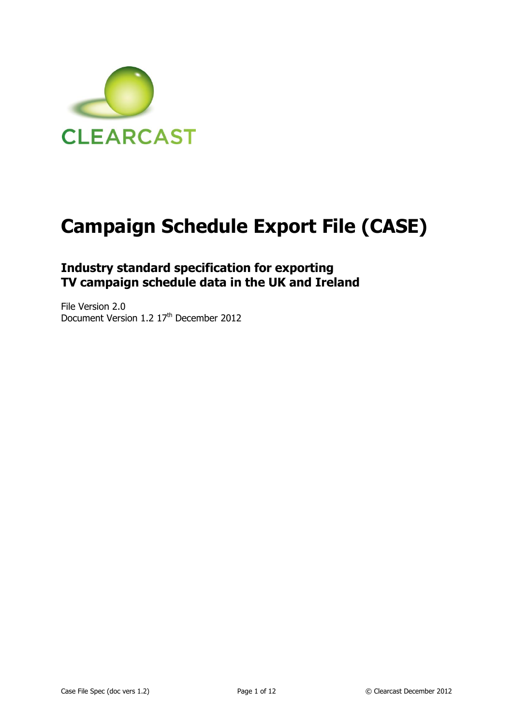

# **Campaign Schedule Export File (CASE)**

## **Industry standard specification for exporting TV campaign schedule data in the UK and Ireland**

File Version 2.0 Document Version 1.2 17<sup>th</sup> December 2012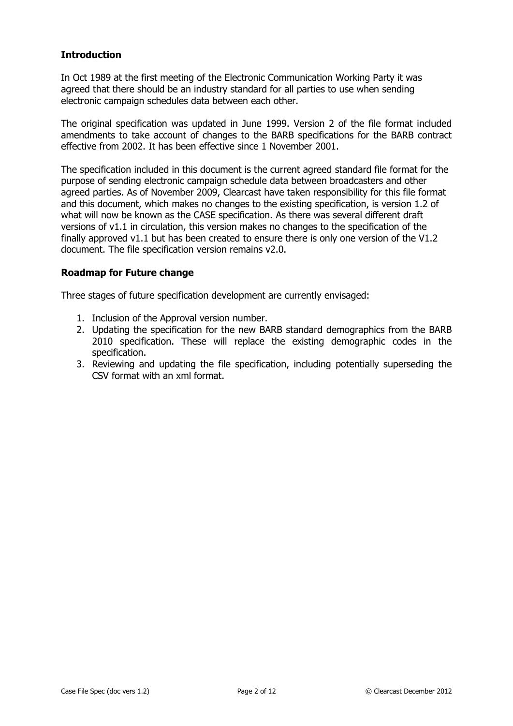#### **Introduction**

In Oct 1989 at the first meeting of the Electronic Communication Working Party it was agreed that there should be an industry standard for all parties to use when sending electronic campaign schedules data between each other.

The original specification was updated in June 1999. Version 2 of the file format included amendments to take account of changes to the BARB specifications for the BARB contract effective from 2002. It has been effective since 1 November 2001.

The specification included in this document is the current agreed standard file format for the purpose of sending electronic campaign schedule data between broadcasters and other agreed parties. As of November 2009, Clearcast have taken responsibility for this file format and this document, which makes no changes to the existing specification, is version 1.2 of what will now be known as the CASE specification. As there was several different draft versions of v1.1 in circulation, this version makes no changes to the specification of the finally approved  $v1.1$  but has been created to ensure there is only one version of the V1.2 document. The file specification version remains v2.0.

#### **Roadmap for Future change**

Three stages of future specification development are currently envisaged:

- 1. Inclusion of the Approval version number.
- 2. Updating the specification for the new BARB standard demographics from the BARB 2010 specification. These will replace the existing demographic codes in the specification.
- 3. Reviewing and updating the file specification, including potentially superseding the CSV format with an xml format.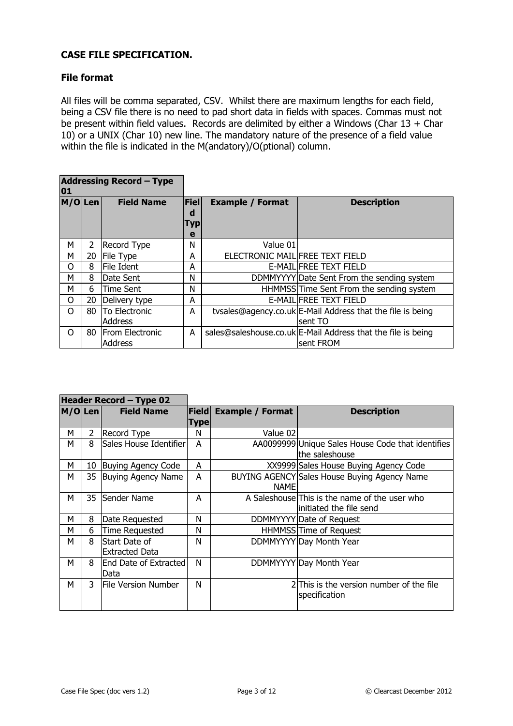### **CASE FILE SPECIFICATION.**

#### **File format**

All files will be comma separated, CSV. Whilst there are maximum lengths for each field, being a CSV file there is no need to pad short data in fields with spaces. Commas must not be present within field values. Records are delimited by either a Windows (Char  $13 +$  Char 10) or a UNIX (Char 10) new line. The mandatory nature of the presence of a field value within the file is indicated in the M(andatory)/O(ptional) column.

| <b>Addressing Record - Type</b><br>01 |    |                                   |                              |                                 |                                                                           |
|---------------------------------------|----|-----------------------------------|------------------------------|---------------------------------|---------------------------------------------------------------------------|
| M/O Len                               |    | <b>Field Name</b>                 | Fiel<br>d<br><b>Typ</b><br>e | <b>Example / Format</b>         | <b>Description</b>                                                        |
| м                                     | 2  | Record Type                       | N                            | Value 01                        |                                                                           |
| м                                     | 20 | File Type                         | A                            | ELECTRONIC MAIL FREE TEXT FIELD |                                                                           |
| O                                     | 8  | File Ident                        | A                            |                                 | E-MAIL FREE TEXT FIELD                                                    |
| м                                     | 8  | Date Sent                         | N                            |                                 | DDMMYYYY Date Sent From the sending system                                |
| м                                     | 6  | Time Sent                         | N                            |                                 | HHMMSS Time Sent From the sending system                                  |
| O                                     | 20 | Delivery type                     | A                            |                                 | E-MAIL FREE TEXT FIELD                                                    |
| $\Omega$                              | 80 | <b>To Electronic</b>              | A                            |                                 | tysales@agency.co.uk E-Mail Address that the file is being                |
|                                       |    | <b>Address</b>                    |                              |                                 | lsent TO                                                                  |
| Ω                                     | 80 | From Electronic<br><b>Address</b> | A                            |                                 | sales@saleshouse.co.uk E-Mail Address that the file is being<br>sent FROM |

| Header Record - Type 02 |    |                                        |                      |                         |                                                                           |
|-------------------------|----|----------------------------------------|----------------------|-------------------------|---------------------------------------------------------------------------|
| M/OLen                  |    | <b>Field Name</b>                      | <b>Field</b><br>Type | <b>Example / Format</b> | <b>Description</b>                                                        |
| М                       | 2  | <b>Record Type</b>                     | N                    | Value 02                |                                                                           |
| м                       | 8  | Sales House Identifier                 | A                    |                         | AA0099999 Unique Sales House Code that identifies<br>the saleshouse       |
| М                       | 10 | Buying Agency Code                     | A                    |                         | XX9999 Sales House Buying Agency Code                                     |
| M                       |    | 35 Buying Agency Name                  | A                    | <b>NAME</b>             | BUYING AGENCY Sales House Buying Agency Name                              |
| М                       | 35 | Sender Name                            | A                    |                         | A Saleshouse This is the name of the user who<br>linitiated the file send |
| М                       | 8  | Date Requested                         | N                    |                         | DDMMYYYY Date of Request                                                  |
| М                       | 6  | <b>Time Requested</b>                  | N                    |                         | HHMMSS Time of Request                                                    |
| М                       | 8  | Start Date of<br><b>Extracted Data</b> | N                    |                         | DDMMYYYY Day Month Year                                                   |
| М                       | 8  | End Date of Extracted<br>Data          | N                    |                         | DDMMYYYY Day Month Year                                                   |
| М                       | 3  | <b>File Version Number</b>             | N                    |                         | 2 This is the version number of the file<br>specification                 |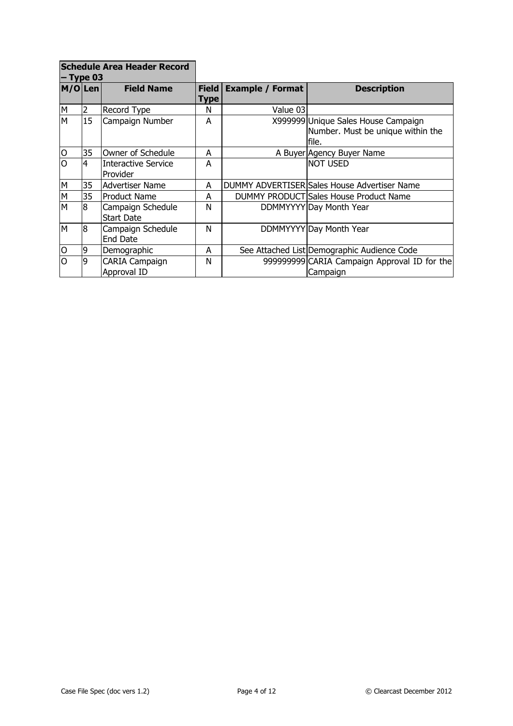| <b>Schedule Area Header Record</b><br>$-$ Type 03 |                |                                        |               |                         |                                                                                   |
|---------------------------------------------------|----------------|----------------------------------------|---------------|-------------------------|-----------------------------------------------------------------------------------|
| $M/O $ Len                                        |                | <b>Field Name</b>                      | Field<br>Type | <b>Example / Format</b> | <b>Description</b>                                                                |
| M                                                 | 2              | Record Type                            | N             | Value 03                |                                                                                   |
| M                                                 | 15             | Campaign Number                        | A             |                         | X999999 Unique Sales House Campaign<br>Number. Must be unique within the<br>file. |
| $\circ$                                           | 35             | Owner of Schedule                      | A             |                         | A Buyer Agency Buyer Name                                                         |
| $\overline{0}$                                    | $\overline{4}$ | Interactive Service<br>Provider        | A             |                         | inot used                                                                         |
| M                                                 | 35             | Advertiser Name                        | A             |                         | DUMMY ADVERTISER Sales House Advertiser Name                                      |
| M                                                 | 35             | <b>Product Name</b>                    | A             |                         | DUMMY PRODUCT Sales House Product Name                                            |
| M                                                 | 8              | Campaign Schedule<br><b>Start Date</b> | N             |                         | DDMMYYYY Day Month Year                                                           |
| M                                                 | 8              | Campaign Schedule<br>End Date          | N             |                         | DDMMYYYY Day Month Year                                                           |
| $\overline{O}$                                    | 9              | Demographic                            | A             |                         | See Attached List Demographic Audience Code                                       |
| O                                                 | 9              | <b>CARIA Campaign</b><br>Approval ID   | N             |                         | 999999999 CARIA Campaign Approval ID for the<br>Campaign                          |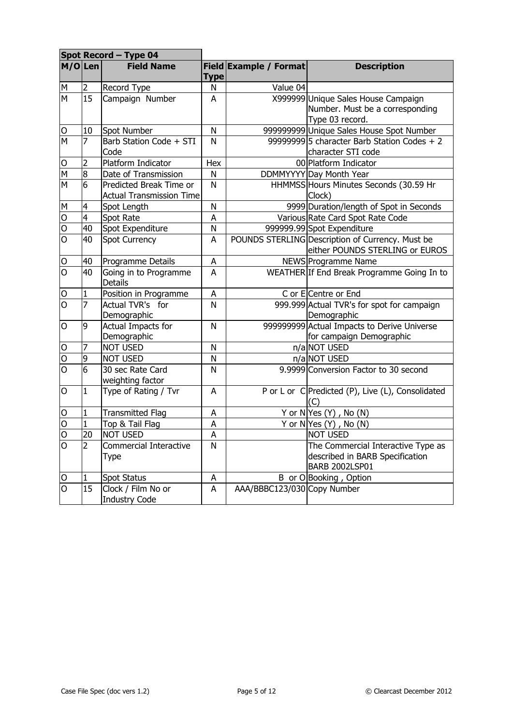|                         | Spot Record - Type 04 |                                                            |             |                             |                                                                                                |
|-------------------------|-----------------------|------------------------------------------------------------|-------------|-----------------------------|------------------------------------------------------------------------------------------------|
| M/OLen                  |                       | <b>Field Name</b>                                          | <b>Type</b> | Field Example / Format      | <b>Description</b>                                                                             |
| M                       | 2                     | Record Type                                                | N           | Value 04                    |                                                                                                |
| M                       | 15                    | Campaign Number                                            | A           |                             | X999999 Unique Sales House Campaign<br>Number. Must be a corresponding<br>Type 03 record.      |
| O                       | 10                    | Spot Number                                                | N           |                             | 999999999 Unique Sales House Spot Number                                                       |
| M                       | 7                     | Barb Station Code + STI<br>Code                            | N           |                             | 99999999 5 character Barb Station Codes $+2$<br>character STI code                             |
| O                       | 2                     | Platform Indicator                                         | Hex         |                             | 00 Platform Indicator                                                                          |
| $\overline{M}$          | ø                     | Date of Transmission                                       | N           |                             | DDMMYYYY Day Month Year                                                                        |
| $\overline{\mathsf{N}}$ | 6                     | Predicted Break Time or<br><b>Actual Transmission Time</b> | N           |                             | HHMMSS Hours Minutes Seconds (30.59 Hr<br>Clock)                                               |
| $M_{\odot}$             | $\overline{4}$        | Spot Length                                                | N           |                             | 9999 Duration/length of Spot in Seconds                                                        |
| $\overline{O}$          | $\overline{4}$        | Spot Rate                                                  | A           |                             | Various Rate Card Spot Rate Code                                                               |
| $\overline{O}$          | 40                    | Spot Expenditure                                           | N           |                             | 999999.99 Spot Expenditure                                                                     |
| $\overline{O}$          | 40                    | <b>Spot Currency</b>                                       | A           |                             | POUNDS STERLING Description of Currency. Must be<br>either POUNDS STERLING or EUROS            |
| O                       | 40                    | Programme Details                                          | Α           |                             | NEWS Programme Name                                                                            |
| $\overline{O}$          | 40                    | Going in to Programme<br><b>Details</b>                    | A           |                             | WEATHER If End Break Programme Going In to                                                     |
| O                       | 1                     | Position in Programme                                      | A           |                             | C or E Centre or End                                                                           |
| $\overline{O}$          | 7                     | Actual TVR's for<br>Demographic                            | N           |                             | 999.999 Actual TVR's for spot for campaign<br>Demographic                                      |
| O                       | 9                     | <b>Actual Impacts for</b><br>Demographic                   | N           |                             | 999999999 Actual Impacts to Derive Universe<br>for campaign Demographic                        |
| 0                       | 7                     | <b>NOT USED</b>                                            | N           |                             | n/a NOT USED                                                                                   |
| 0                       | 9                     | <b>NOT USED</b>                                            | N           |                             | n/a NOT USED                                                                                   |
| $\overline{O}$          | 6                     | 30 sec Rate Card<br>weighting factor                       | N           |                             | 9.9999 Conversion Factor to 30 second                                                          |
| O                       | 1                     | Type of Rating / Tvr                                       | A           |                             | P or L or C Predicted (P), Live (L), Consolidated<br>(C                                        |
| $\overline{O}$          | $\mathbf{1}$          | <b>Transmitted Flag</b>                                    | A           |                             | Y or $N Yes(Y)$ , No $(N)$                                                                     |
| $\overline{O}$          | $\mathbf 1$           | Top & Tail Flag                                            | A           |                             | Y or $N Yes (Y)$ , No $(N)$                                                                    |
| O                       | 20                    | NOT USED                                                   | A           |                             | inot used                                                                                      |
| O                       | 2                     | Commercial Interactive<br>Type                             | N           |                             | The Commercial Interactive Type as<br>described in BARB Specification<br><b>BARB 2002LSP01</b> |
| O                       |                       | <b>Spot Status</b>                                         | A           |                             | B or O Booking, Option                                                                         |
| $\overline{O}$          | 15                    | Clock / Film No or<br><b>Industry Code</b>                 | A           | AAA/BBBC123/030 Copy Number |                                                                                                |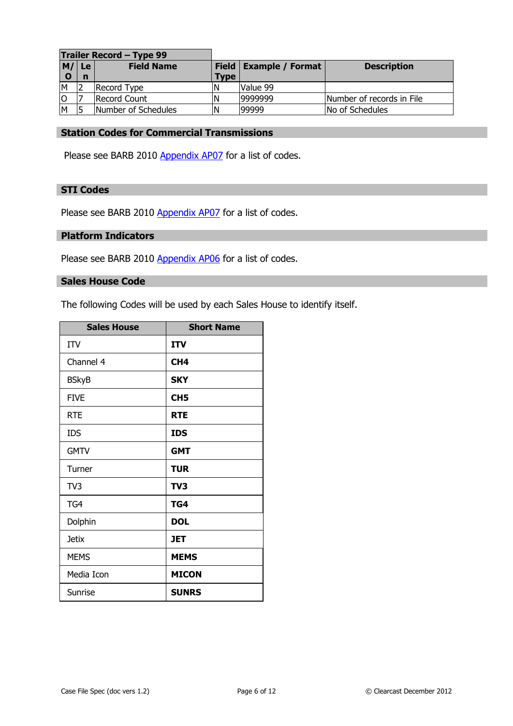| Trailer Record - Type 99 |             |                     |               |                         |                           |
|--------------------------|-------------|---------------------|---------------|-------------------------|---------------------------|
| M/ Le                    |             | <b>Field Name</b>   | Field $\vert$ | <b>Example / Format</b> | <b>Description</b>        |
|                          | $\mathbf n$ |                     | <b>Type</b>   |                         |                           |
| M                        |             | Record Type         |               | Value 99                |                           |
| lo                       |             | Record Count        |               | 9999999                 | Number of records in File |
| M                        |             | Number of Schedules | ١N            | 99999                   | No of Schedules           |

#### **Station Codes for Commercial Transmissions**

Please see BARB 2010 [Appendix AP07](http://www.agbnielsen.co.uk/agb/files/ClientServices/BARB%20Specifications/Appendices/BARB2002AP07.doc) for a list of codes.

#### **STI Codes**

Please see BARB 2010 [Appendix AP07](http://www.agbnielsen.co.uk/agb/files/ClientServices/BARB%20Specifications/Appendices/BARB2002AP07.doc) for a list of codes.

#### **Platform Indicators**

Please see BARB 2010 [Appendix](http://www.agbnielsen.co.uk/agb/files/ClientServices/BARB%20Specifications/Appendices/BARB2002AP06.doc) AP06 for a list of codes.

#### **Sales House Code**

The following Codes will be used by each Sales House to identify itself.

| <b>Sales House</b> | <b>Short Name</b> |
|--------------------|-------------------|
| ITV                | <b>ITV</b>        |
| Channel 4          | CH <sub>4</sub>   |
| <b>BSkyB</b>       | <b>SKY</b>        |
| <b>FIVE</b>        | CH <sub>5</sub>   |
| <b>RTE</b>         | <b>RTE</b>        |
| <b>IDS</b>         | <b>IDS</b>        |
| <b>GMTV</b>        | <b>GMT</b>        |
| Turner             | <b>TUR</b>        |
| TV <sub>3</sub>    | TV3               |
| TG4                | TG4               |
| Dolphin            | <b>DOL</b>        |
| <b>Jetix</b>       | <b>JET</b>        |
| <b>MEMS</b>        | <b>MEMS</b>       |
| Media Icon         | <b>MICON</b>      |
| Sunrise            | <b>SUNRS</b>      |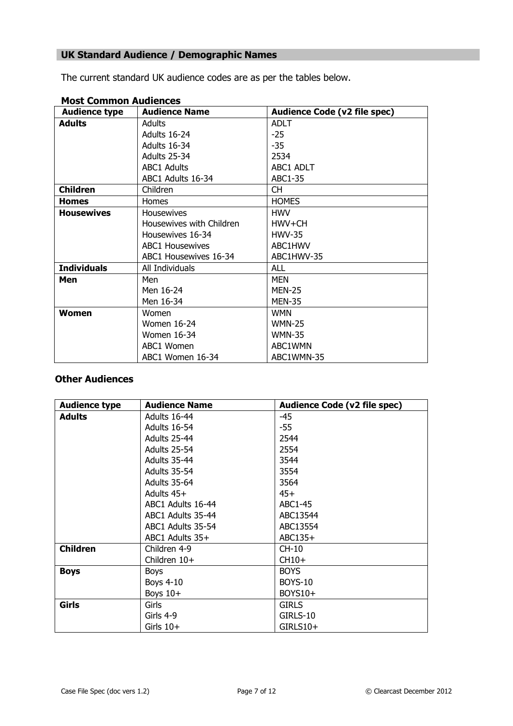## **UK Standard Audience / Demographic Names**

The current standard UK audience codes are as per the tables below.

| <b>Audience type</b> | <b>Audience Name</b>     | <b>Audience Code (v2 file spec)</b> |
|----------------------|--------------------------|-------------------------------------|
| <b>Adults</b>        | Adults                   | <b>ADLT</b>                         |
|                      | Adults 16-24             | $-25$                               |
|                      | Adults 16-34             | $-35$                               |
|                      | Adults 25-34             | 2534                                |
|                      | <b>ABC1 Adults</b>       | ABC1 ADLT                           |
|                      | ABC1 Adults 16-34        | ABC1-35                             |
| <b>Children</b>      | <b>Children</b>          | СH                                  |
| <b>Homes</b>         | Homes                    | <b>HOMES</b>                        |
| <b>Housewives</b>    | <b>Housewives</b>        | <b>HWV</b>                          |
|                      | Housewives with Children | HWV+CH                              |
|                      | Housewives 16-34         | <b>HWV-35</b>                       |
|                      | <b>ABC1 Housewives</b>   | ABC1HWV                             |
|                      | ABC1 Housewives 16-34    | ABC1HWV-35                          |
| <b>Individuals</b>   | All Individuals          | ALL                                 |
| Men                  | Men                      | MEN                                 |
|                      | Men 16-24                | <b>MEN-25</b>                       |
|                      | Men 16-34                | <b>MEN-35</b>                       |
| Women                | Women                    | <b>WMN</b>                          |
|                      | <b>Women 16-24</b>       | <b>WMN-25</b>                       |
|                      | Women 16-34              | <b>WMN-35</b>                       |
|                      | ABC1 Women               | ABC1WMN                             |
|                      | ABC1 Women 16-34         | ABC1WMN-35                          |

#### **Most Common Audiences**

#### **Other Audiences**

| <b>Audience type</b> | <b>Audience Name</b> | <b>Audience Code (v2 file spec)</b> |
|----------------------|----------------------|-------------------------------------|
| <b>Adults</b>        | Adults 16-44         | $-45$                               |
|                      | Adults 16-54         | $-55$                               |
|                      | Adults 25-44         | 2544                                |
|                      | Adults 25-54         | 2554                                |
|                      | Adults 35-44         | 3544                                |
|                      | Adults 35-54         | 3554                                |
|                      | Adults 35-64         | 3564                                |
|                      | Adults 45+           | $45+$                               |
|                      | ABC1 Adults 16-44    | ABC1-45                             |
|                      | ABC1 Adults 35-44    | ABC13544                            |
|                      | ABC1 Adults 35-54    | ABC13554                            |
|                      | ABC1 Adults 35+      | ABC135+                             |
| <b>Children</b>      | Children 4-9         | $CH-10$                             |
|                      | Children 10+         | CH10+                               |
| <b>Boys</b>          | <b>Boys</b>          | <b>BOYS</b>                         |
|                      | <b>Boys 4-10</b>     | <b>BOYS-10</b>                      |
|                      | Boys $10+$           | BOYS10+                             |
| Girls                | Girls                | <b>GIRLS</b>                        |
|                      | Girls 4-9            | GIRLS-10                            |
|                      | Girls $10+$          | GIRLS10+                            |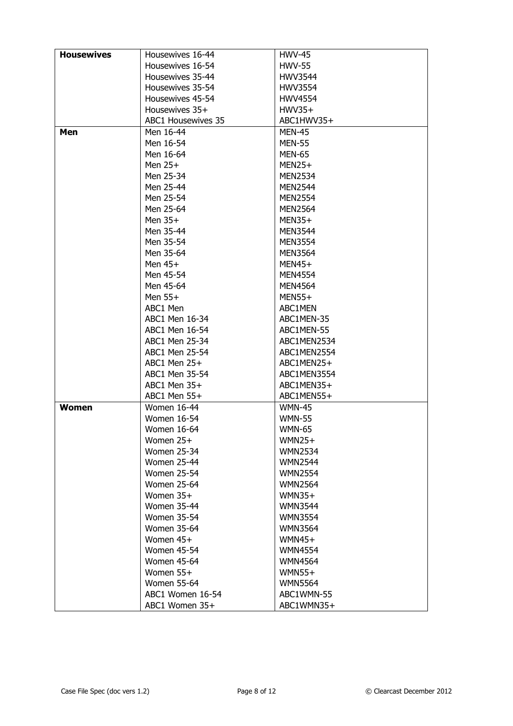| <b>Housewives</b> | Housewives 16-44          | <b>HWV-45</b>  |
|-------------------|---------------------------|----------------|
|                   | Housewives 16-54          | <b>HWV-55</b>  |
|                   | Housewives 35-44          | <b>HWV3544</b> |
|                   | Housewives 35-54          | HWV3554        |
|                   | Housewives 45-54          | <b>HWV4554</b> |
|                   | Housewives 35+            | $HWV35+$       |
|                   | <b>ABC1 Housewives 35</b> | ABC1HWV35+     |
| Men               | Men 16-44                 | <b>MEN-45</b>  |
|                   | Men 16-54                 | <b>MEN-55</b>  |
|                   | Men 16-64                 | <b>MEN-65</b>  |
|                   | Men $25+$                 | MEN25+         |
|                   | Men 25-34                 | <b>MEN2534</b> |
|                   | Men 25-44                 | <b>MEN2544</b> |
|                   | Men 25-54                 | <b>MEN2554</b> |
|                   | Men 25-64                 | <b>MEN2564</b> |
|                   | Men $35+$                 | MEN35+         |
|                   |                           |                |
|                   | Men 35-44                 | <b>MEN3544</b> |
|                   | Men 35-54                 | <b>MEN3554</b> |
|                   | Men 35-64                 | <b>MEN3564</b> |
|                   | Men $45+$                 | MEN45+         |
|                   | Men 45-54                 | <b>MEN4554</b> |
|                   | Men 45-64                 | <b>MEN4564</b> |
|                   | Men $55+$                 | MEN55+         |
|                   | ABC1 Men                  | ABC1MEN        |
|                   | ABC1 Men 16-34            | ABC1MEN-35     |
|                   | ABC1 Men 16-54            | ABC1MEN-55     |
|                   | ABC1 Men 25-34            | ABC1MEN2534    |
|                   | ABC1 Men 25-54            | ABC1MEN2554    |
|                   | ABC1 Men 25+              | ABC1MEN25+     |
|                   | ABC1 Men 35-54            | ABC1MEN3554    |
|                   | $ABC1$ Men $35+$          | ABC1MEN35+     |
|                   | ABC1 Men 55+              | ABC1MEN55+     |
| <b>Women</b>      | Women 16-44               | <b>WMN-45</b>  |
|                   | <b>Women 16-54</b>        | <b>WMN-55</b>  |
|                   | Women 16-64               | <b>WMN-65</b>  |
|                   | Women 25+                 | $WMN25+$       |
|                   | <b>Women 25-34</b>        | <b>WMN2534</b> |
|                   | <b>Women 25-44</b>        | <b>WMN2544</b> |
|                   | <b>Women 25-54</b>        | <b>WMN2554</b> |
|                   | <b>Women 25-64</b>        | <b>WMN2564</b> |
|                   | Women 35+                 | $WMN35+$       |
|                   | <b>Women 35-44</b>        | <b>WMN3544</b> |
|                   | <b>Women 35-54</b>        | <b>WMN3554</b> |
|                   | <b>Women 35-64</b>        | <b>WMN3564</b> |
|                   | Women 45+                 | $WMN45+$       |
|                   | <b>Women 45-54</b>        | <b>WMN4554</b> |
|                   | <b>Women 45-64</b>        |                |
|                   |                           | <b>WMN4564</b> |
|                   | Women $55+$               | $WMN55+$       |
|                   | <b>Women 55-64</b>        | <b>WMN5564</b> |
|                   | ABC1 Women 16-54          | ABC1WMN-55     |
|                   | ABC1 Women 35+            | ABC1WMN35+     |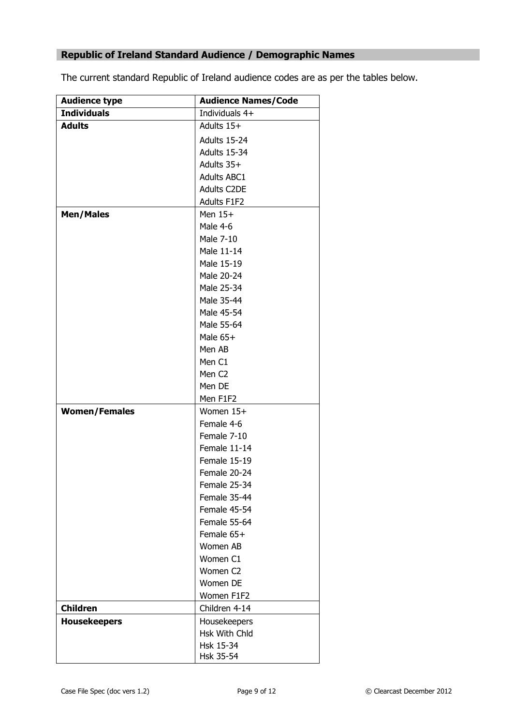## **Republic of Ireland Standard Audience / Demographic Names**

The current standard Republic of Ireland audience codes are as per the tables below.

| <b>Audience type</b> | <b>Audience Names/Code</b> |
|----------------------|----------------------------|
| <b>Individuals</b>   | Individuals 4+             |
| <b>Adults</b>        | Adults 15+                 |
|                      | Adults 15-24               |
|                      | Adults 15-34               |
|                      | Adults 35+                 |
|                      | <b>Adults ABC1</b>         |
|                      | Adults C2DE                |
|                      | <b>Adults F1F2</b>         |
| <b>Men/Males</b>     | Men $15+$                  |
|                      | Male 4-6                   |
|                      | Male 7-10                  |
|                      | Male 11-14                 |
|                      | Male 15-19                 |
|                      | Male 20-24                 |
|                      | Male 25-34                 |
|                      | Male 35-44                 |
|                      | Male 45-54                 |
|                      | Male 55-64                 |
|                      | Male $65+$                 |
|                      | Men AB                     |
|                      | Men C1                     |
|                      | Men C <sub>2</sub>         |
|                      | Men DE                     |
|                      | Men F1F2                   |
| <b>Women/Females</b> | Women 15+                  |
|                      | Female 4-6                 |
|                      | Female 7-10                |
|                      | Female 11-14               |
|                      | Female 15-19               |
|                      | Female 20-24               |
|                      | Female 25-34               |
|                      | Female 35-44               |
|                      | Female 45-54               |
|                      | Female 55-64               |
|                      | Female 65+                 |
|                      | Women AB                   |
|                      | Women C1                   |
|                      | Women C <sub>2</sub>       |
|                      | Women DE                   |
|                      | Women F1F2                 |
| <b>Children</b>      | Children 4-14              |
| <b>Housekeepers</b>  | Housekeepers               |
|                      | Hsk With Chld              |
|                      | Hsk 15-34                  |
|                      | Hsk 35-54                  |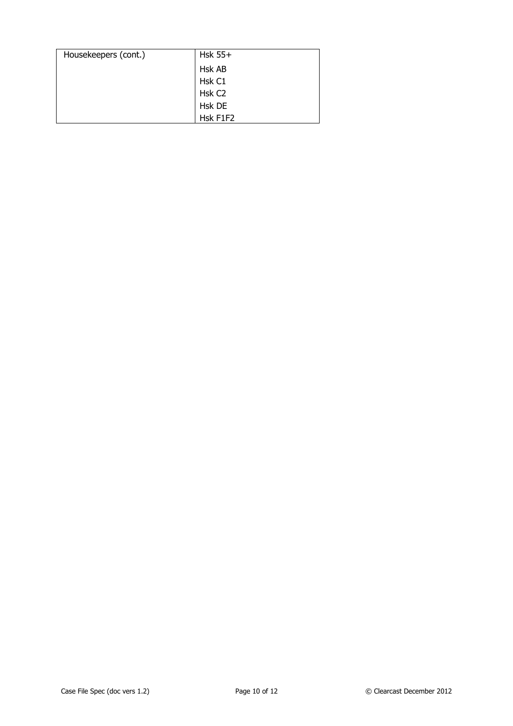| Housekeepers (cont.) | Hsk $55+$          |
|----------------------|--------------------|
|                      | Hsk AB             |
|                      | Hsk C1             |
|                      | Hsk C <sub>2</sub> |
|                      | Hsk DE             |
|                      | Hsk F1F2           |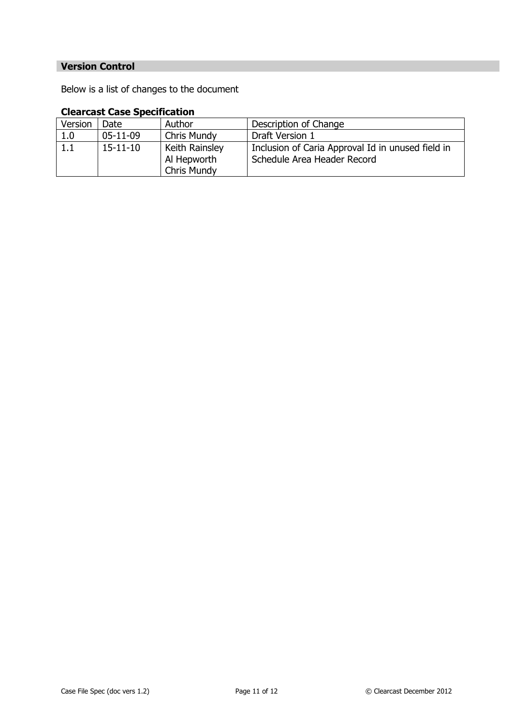## **Version Control**

Below is a list of changes to the document

## **Clearcast Case Specification**

| Version | Date.          | Author                                              | Description of Change                                                            |
|---------|----------------|-----------------------------------------------------|----------------------------------------------------------------------------------|
| 1.0     | $05-11-09$     | <b>Chris Mundy</b>                                  | Draft Version 1                                                                  |
| 1.1     | $15 - 11 - 10$ | Keith Rainsley<br>Al Hepworth<br><b>Chris Mundy</b> | Inclusion of Caria Approval Id in unused field in<br>Schedule Area Header Record |